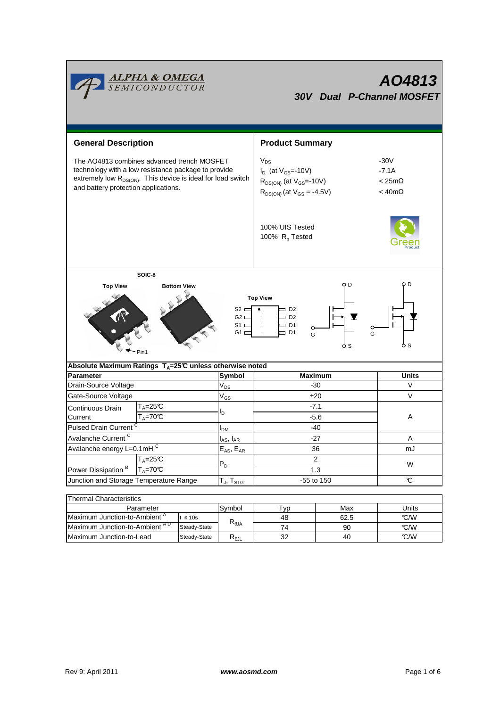| <u><b>ALPHA &amp; OMEGA</b><br/>SEMICONDUCTOR</u><br>AO4813<br>30V Dual P-Channel MOSFET                                                                                                                                                                            |                                                          |  |                                                         |                                                                                                                  |                                                        |                   |  |  |  |  |  |
|---------------------------------------------------------------------------------------------------------------------------------------------------------------------------------------------------------------------------------------------------------------------|----------------------------------------------------------|--|---------------------------------------------------------|------------------------------------------------------------------------------------------------------------------|--------------------------------------------------------|-------------------|--|--|--|--|--|
| <b>General Description</b>                                                                                                                                                                                                                                          |                                                          |  | <b>Product Summary</b>                                  |                                                                                                                  |                                                        |                   |  |  |  |  |  |
| The AO4813 combines advanced trench MOSFET<br>technology with a low resistance package to provide<br>extremely low R <sub>DS(ON)</sub> . This device is ideal for load switch<br>and battery protection applications.                                               |                                                          |  |                                                         | $V_{DS}$<br>$I_D$ (at $V_{GS}$ =-10V)<br>$R_{DS(ON)}$ (at $V_{GS}$ =-10V)<br>$R_{DS(ON)}$ (at $V_{GS} = -4.5V$ ) | $-30V$<br>$-7.1A$<br>$< 25m\Omega$<br>$<$ 40m $\Omega$ |                   |  |  |  |  |  |
|                                                                                                                                                                                                                                                                     |                                                          |  | 100% UIS Tested<br>100% $R_g$ Tested                    |                                                                                                                  |                                                        |                   |  |  |  |  |  |
| SOIC-8<br>O D<br>O D<br><b>Top View</b><br><b>Bottom View</b><br><b>Top View</b><br>$S2 =$<br>$=$ D <sub>2</sub><br>$G2 \Box$<br>$\Box$ D <sub>2</sub><br>$S1 \nightharpoonup$<br>$\equiv$ D1<br>o<br>$G1 \sqsubset$<br>$\equiv$ D1<br>G<br>G<br>ბ s<br>o s<br>Pin1 |                                                          |  |                                                         |                                                                                                                  |                                                        |                   |  |  |  |  |  |
| Absolute Maximum Ratings $T_A = 25^\circ \text{C}$ unless otherwise noted                                                                                                                                                                                           |                                                          |  |                                                         |                                                                                                                  |                                                        |                   |  |  |  |  |  |
| <b>Parameter</b><br>Drain-Source Voltage                                                                                                                                                                                                                            |                                                          |  | Symbol<br>$V_{DS}$                                      | <b>Maximum</b><br>$-30$                                                                                          |                                                        | <b>Units</b><br>V |  |  |  |  |  |
| Gate-Source Voltage                                                                                                                                                                                                                                                 |                                                          |  | $\rm V_{GS}$                                            |                                                                                                                  | ±20                                                    | $\vee$            |  |  |  |  |  |
| Continuous Drain<br>Current                                                                                                                                                                                                                                         | T <sub>A</sub> =25℃<br>$T_A = 70C$                       |  | l <sub>D</sub>                                          | $-7.1$<br>$-5.6$                                                                                                 |                                                        | Α                 |  |  |  |  |  |
| Pulsed Drain Current <sup>C</sup>                                                                                                                                                                                                                                   |                                                          |  | $I_{DM}$                                                | $-40$                                                                                                            |                                                        |                   |  |  |  |  |  |
| Avalanche Current <sup>C</sup>                                                                                                                                                                                                                                      |                                                          |  | $I_{AS}$ , $I_{AR}$                                     | $-27$                                                                                                            |                                                        | A                 |  |  |  |  |  |
| Avalanche energy L=0.1mHC                                                                                                                                                                                                                                           |                                                          |  | $\mathsf{E}_{\mathsf{AS}}, \, \mathsf{E}_{\mathsf{AR}}$ | 36                                                                                                               | mJ                                                     |                   |  |  |  |  |  |
| $T_A = 25C$<br>Power Dissipation <sup>B</sup><br>$T_A = 70^\circ C$                                                                                                                                                                                                 |                                                          |  | $P_D$                                                   | $\overline{c}$<br>1.3                                                                                            | W                                                      |                   |  |  |  |  |  |
| Junction and Storage Temperature Range                                                                                                                                                                                                                              |                                                          |  | $T_J$ , $T_{STG}$                                       | -55 to 150                                                                                                       | $\mathbf C$                                            |                   |  |  |  |  |  |
| <b>Thermal Characteristics</b>                                                                                                                                                                                                                                      |                                                          |  |                                                         |                                                                                                                  |                                                        |                   |  |  |  |  |  |
| Parameter                                                                                                                                                                                                                                                           |                                                          |  | Symbol                                                  | Typ                                                                                                              | Max                                                    | Units             |  |  |  |  |  |
|                                                                                                                                                                                                                                                                     | Maximum Junction-to-Ambient <sup>A</sup><br>$t \leq 10s$ |  |                                                         | 48                                                                                                               | 62.5                                                   | C/W               |  |  |  |  |  |
|                                                                                                                                                                                                                                                                     | Maximum Junction-to-Ambient AD<br>Steady-State           |  | $\mathsf{R}_{\theta \mathsf{JA}}$                       | 74                                                                                                               | 90                                                     | C/W               |  |  |  |  |  |

 $\overline{\text{Steady-State}}$   $R_{\theta \text{JL}}$ 

 $Maximum$  Junction-to-Lead Steady-State  $R_{\theta J L}$  32 40  $\degree$ 

32

40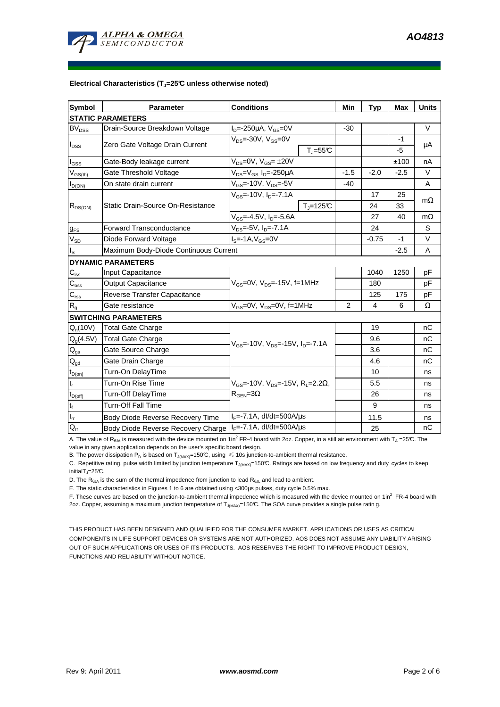

#### **Electrical Characteristics (TJ=25°C unless otherwise noted)**

| <b>Symbol</b>                          | Parameter                                                    | <b>Conditions</b>                                       | Min    | <b>Typ</b> | <b>Max</b> | <b>Units</b> |  |  |  |  |  |
|----------------------------------------|--------------------------------------------------------------|---------------------------------------------------------|--------|------------|------------|--------------|--|--|--|--|--|
| <b>STATIC PARAMETERS</b>               |                                                              |                                                         |        |            |            |              |  |  |  |  |  |
| <b>BV<sub>DSS</sub></b>                | Drain-Source Breakdown Voltage                               | $I_D = -250 \mu A$ , $V_{GS} = 0V$                      | $-30$  |            |            | V            |  |  |  |  |  |
| $I_{DSS}$                              | Zero Gate Voltage Drain Current                              | $V_{DS}$ =-30V, $V_{GS}$ =0V                            |        |            | $-1$       |              |  |  |  |  |  |
|                                        |                                                              | $T_{J} = 55C$                                           |        |            | -5         | μA           |  |  |  |  |  |
| l <sub>GSS</sub>                       | Gate-Body leakage current                                    | $V_{DS}$ =0V, $V_{GS}$ = ±20V                           |        |            | ±100       | nA           |  |  |  |  |  |
| $V_{GS(th)}$                           | Gate Threshold Voltage                                       | V <sub>DS</sub> =V <sub>GS</sub> I <sub>D</sub> =-250µA | $-1.5$ | $-2.0$     | $-2.5$     | V            |  |  |  |  |  |
| $I_{D(ON)}$                            | On state drain current                                       | $V_{GS}$ =-10V, $V_{DS}$ =-5V                           | $-40$  |            |            | A            |  |  |  |  |  |
| $R_{DS(ON)}$                           |                                                              | $V_{gs}$ =-10V, I <sub>n</sub> =-7.1A                   |        | 17         | 25         |              |  |  |  |  |  |
|                                        | Static Drain-Source On-Resistance                            | $T_J = 125C$                                            |        | 24         | 33         | $m\Omega$    |  |  |  |  |  |
|                                        |                                                              | V <sub>GS</sub> =-4.5V, I <sub>D</sub> =-5.6A           |        | 27         | 40         | $m\Omega$    |  |  |  |  |  |
| $g_{FS}$                               | <b>Forward Transconductance</b>                              | $V_{DS}$ =-5V, I <sub>D</sub> =-7.1A                    |        | 24         |            | S            |  |  |  |  |  |
| $V_{SD}$                               | Diode Forward Voltage                                        | $IS=-1A, VGS=0V$                                        |        | $-0.75$    | $-1$       | V            |  |  |  |  |  |
| $I_{\rm S}$                            | Maximum Body-Diode Continuous Current                        |                                                         |        | $-2.5$     | A          |              |  |  |  |  |  |
|                                        | <b>DYNAMIC PARAMETERS</b>                                    |                                                         |        |            |            |              |  |  |  |  |  |
| $\mathbf{C}_{\text{iss}}$              | <b>Input Capacitance</b>                                     |                                                         |        | 1040       | 1250       | pF           |  |  |  |  |  |
| $\mathsf{C}_{\mathrm{oss}}$            | <b>Output Capacitance</b>                                    | $V_{GS}$ =0V, $V_{DS}$ =-15V, f=1MHz                    |        | 180        |            | pF           |  |  |  |  |  |
| $C_{\text{rss}}$                       | Reverse Transfer Capacitance                                 |                                                         |        | 125        | 175        | pF           |  |  |  |  |  |
| R <sub>g</sub>                         | Gate resistance                                              | $V_{GS}$ =0V, $V_{DS}$ =0V, f=1MHz                      | 2      | 4          | 6          | $\Omega$     |  |  |  |  |  |
|                                        | <b>SWITCHING PARAMETERS</b>                                  |                                                         |        |            |            |              |  |  |  |  |  |
| Q <sub>a</sub> (10V)                   | <b>Total Gate Charge</b>                                     |                                                         |        | 19         |            | nC           |  |  |  |  |  |
| $Q_q(4.5V)$                            | Total Gate Charge                                            |                                                         |        | 9.6        |            | nC           |  |  |  |  |  |
| $Q_{gs}$                               | Gate Source Charge                                           | $V_{GS}$ =-10V, $V_{DS}$ =-15V, $I_{D}$ =-7.1A          |        | 3.6        |            | nC           |  |  |  |  |  |
| $\mathsf{Q}_{\underline{\mathsf{gd}}}$ | Gate Drain Charge                                            |                                                         |        | 4.6        |            | nC           |  |  |  |  |  |
| $t_{D(0n)}$                            | Turn-On DelayTime                                            |                                                         |        | 10         |            | ns           |  |  |  |  |  |
| $t_r$                                  | Turn-On Rise Time                                            | $V_{GS}$ =-10V, $V_{DS}$ =-15V, R <sub>L</sub> =2.2Ω,   |        | 5.5        |            | ns           |  |  |  |  |  |
| $t_{D(off)}$                           | Turn-Off DelayTime                                           | $R_{\text{GEN}} = 3\Omega$                              |        | 26         |            | ns           |  |  |  |  |  |
| $\mathbf{t}_\text{f}$                  | Turn-Off Fall Time                                           |                                                         |        | 9          |            | ns           |  |  |  |  |  |
| $\mathsf{t}_\mathsf{rr}$               | Body Diode Reverse Recovery Time                             | $I_F = -7.1A$ , dl/dt=500A/us                           |        | 11.5       |            | ns           |  |  |  |  |  |
| $Q_{rr}$                               | Body Diode Reverse Recovery Charge   IF=-7.1A, dl/dt=500A/us |                                                         |        | 25         |            | nC           |  |  |  |  |  |

A. The value of R<sub>θJA</sub> is measured with the device mounted on 1in<sup>2</sup> FR-4 board with 2oz. Copper, in a still air environment with T<sub>A</sub> = 25°C. The value in any given application depends on the user's specific board design.

B. The power dissipation P<sub>D</sub> is based on T<sub>J(MAX)</sub>=150°C, using  $\leq 10$ s junction-to-ambient thermal resistance.

C. Repetitive rating, pulse width limited by junction temperature T<sub>J(MAX)</sub>=150°C. Ratings are based on low frequency and duty cycles to keep initialT $_{J}$ =25°C.

D. The  $R_{\theta JA}$  is the sum of the thermal impedence from junction to lead  $R_{\theta JL}$  and lead to ambient.

E. The static characteristics in Figures 1 to 6 are obtained using <300µs pulses, duty cycle 0.5% max.

F. These curves are based on the junction-to-ambient thermal impedence which is measured with the device mounted on 1in<sup>2</sup> FR-4 board with

2oz. Copper, assuming a maximum junction temperature of T<sub>J(MAX)</sub>=150°C. The SOA curve provides a single pulse ratin g.

THIS PRODUCT HAS BEEN DESIGNED AND QUALIFIED FOR THE CONSUMER MARKET. APPLICATIONS OR USES AS CRITICAL COMPONENTS IN LIFE SUPPORT DEVICES OR SYSTEMS ARE NOT AUTHORIZED. AOS DOES NOT ASSUME ANY LIABILITY ARISING OUT OF SUCH APPLICATIONS OR USES OF ITS PRODUCTS. AOS RESERVES THE RIGHT TO IMPROVE PRODUCT DESIGN, FUNCTIONS AND RELIABILITY WITHOUT NOTICE.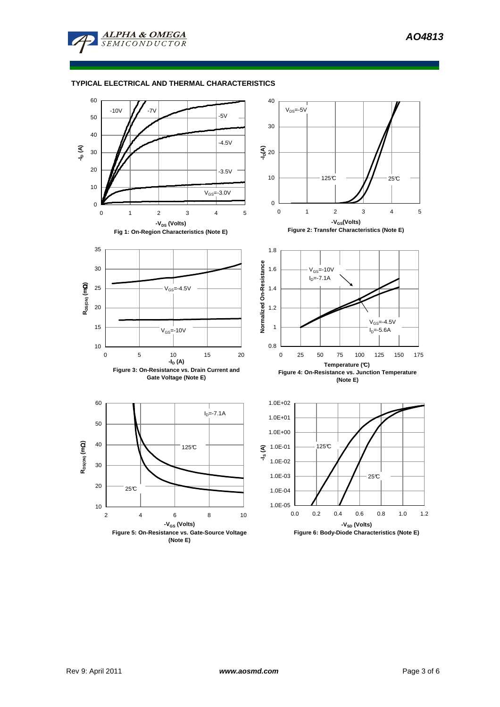

**ALPHA & OMEGA**  $SEMICONDUCTOR$ 

# **TYPICAL ELECTRICAL AND THERMAL CHARACTERISTICS**

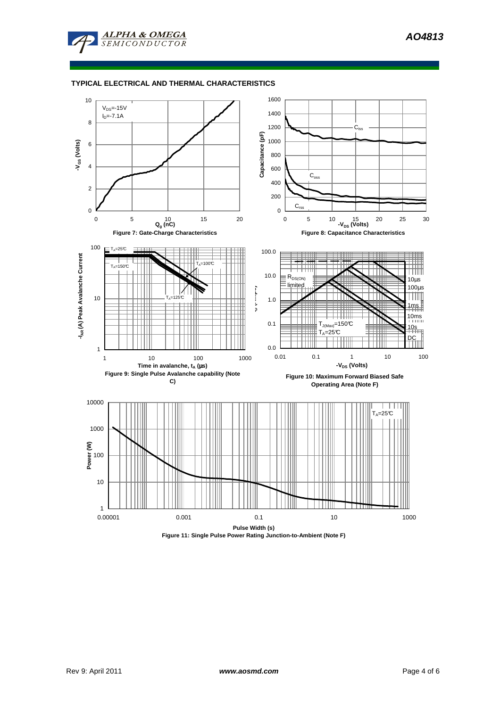



### **TYPICAL ELECTRICAL AND THERMAL CHARACTERISTICS**



**Figure 11: Single Pulse Power Rating Junction-to-Ambient (Note F)**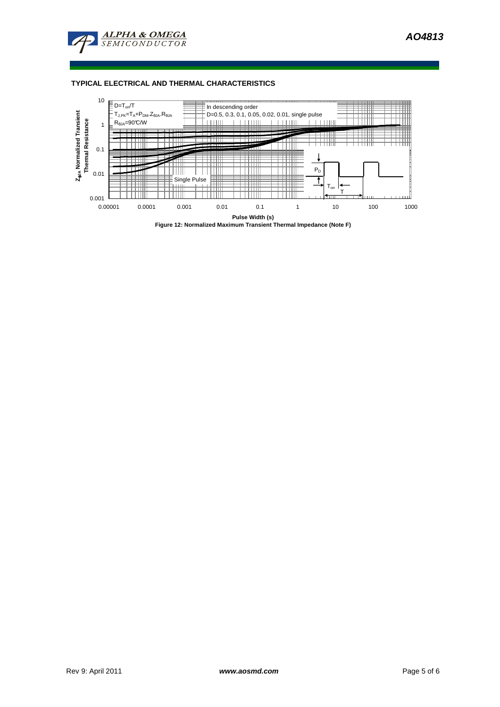

## **TYPICAL ELECTRICAL AND THERMAL CHARACTERISTICS**